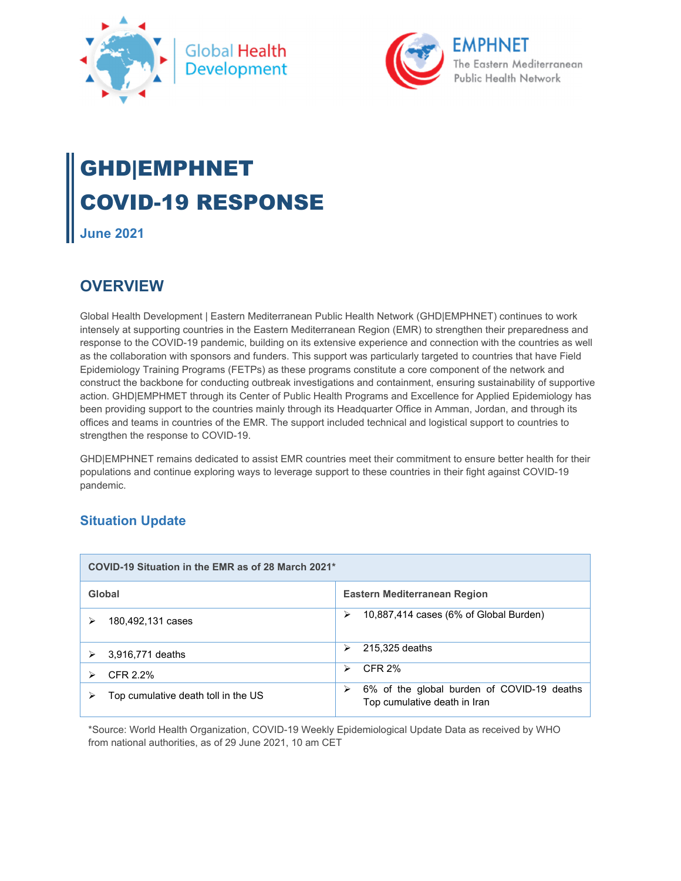



# GHD|EMPHNET COVID-19 RESPONSE

**June 2021** 

# **OVERVIEW**

Global Health Development | Eastern Mediterranean Public Health Network (GHD|EMPHNET) continues to work intensely at supporting countries in the Eastern Mediterranean Region (EMR) to strengthen their preparedness and response to the COVID-19 pandemic, building on its extensive experience and connection with the countries as well as the collaboration with sponsors and funders. This support was particularly targeted to countries that have Field Epidemiology Training Programs (FETPs) as these programs constitute a core component of the network and construct the backbone for conducting outbreak investigations and containment, ensuring sustainability of supportive action. GHD|EMPHMET through its Center of Public Health Programs and Excellence for Applied Epidemiology has been providing support to the countries mainly through its Headquarter Office in Amman, Jordan, and through its offices and teams in countries of the EMR. The support included technical and logistical support to countries to strengthen the response to COVID-19.

GHD|EMPHNET remains dedicated to assist EMR countries meet their commitment to ensure better health for their populations and continue exploring ways to leverage support to these countries in their fight against COVID-19 pandemic.

# **Situation Update**

| COVID-19 Situation in the EMR as of 28 March 2021* |                                                                                 |  |
|----------------------------------------------------|---------------------------------------------------------------------------------|--|
| Global                                             | Eastern Mediterranean Region                                                    |  |
| 180,492,131 cases                                  | 10,887,414 cases (6% of Global Burden)<br>➤                                     |  |
| 3,916,771 deaths                                   | 215,325 deaths<br>⋗                                                             |  |
| CFR 2.2%                                           | CFR 2%<br>↘                                                                     |  |
| Top cumulative death toll in the US                | 6% of the global burden of COVID-19 deaths<br>⋗<br>Top cumulative death in Iran |  |

\*Source: World Health Organization, COVID-19 Weekly Epidemiological Update Data as received by WHO from national authorities, as of 29 June 2021, 10 am CET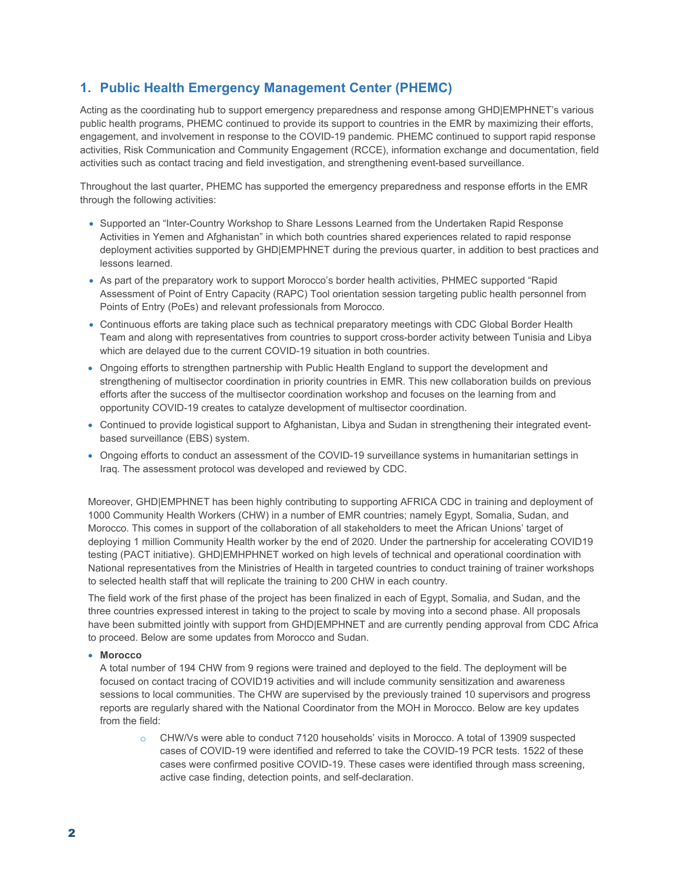## **1. Public Health Emergency Management Center (PHEMC)**

Acting as the coordinating hub to support emergency preparedness and response among GHD|EMPHNET's various public health programs, PHEMC continued to provide its support to countries in the EMR by maximizing their efforts, engagement, and involvement in response to the COVID-19 pandemic. PHEMC continued to support rapid response activities, Risk Communication and Community Engagement (RCCE), information exchange and documentation, field activities such as contact tracing and field investigation, and strengthening event-based surveillance.

Throughout the last quarter, PHEMC has supported the emergency preparedness and response efforts in the EMR through the following activities:

- Supported an "Inter-Country Workshop to Share Lessons Learned from the Undertaken Rapid Response Activities in Yemen and Afghanistan" in which both countries shared experiences related to rapid response deployment activities supported by GHD|EMPHNET during the previous quarter, in addition to best practices and lessons learned.
- As part of the preparatory work to support Morocco's border health activities, PHMEC supported "Rapid Assessment of Point of Entry Capacity (RAPC) Tool orientation session targeting public health personnel from Points of Entry (PoEs) and relevant professionals from Morocco.
- Continuous efforts are taking place such as technical preparatory meetings with CDC Global Border Health Team and along with representatives from countries to support cross-border activity between Tunisia and Libya which are delayed due to the current COVID-19 situation in both countries.
- Ongoing efforts to strengthen partnership with Public Health England to support the development and strengthening of multisector coordination in priority countries in EMR. This new collaboration builds on previous efforts after the success of the multisector coordination workshop and focuses on the learning from and opportunity COVID-19 creates to catalyze development of multisector coordination.
- Continued to provide logistical support to Afghanistan, Libya and Sudan in strengthening their integrated eventbased surveillance (EBS) system.
- Ongoing efforts to conduct an assessment of the COVID-19 surveillance systems in humanitarian settings in Iraq. The assessment protocol was developed and reviewed by CDC.

Moreover, GHD|EMPHNET has been highly contributing to supporting AFRICA CDC in training and deployment of 1000 Community Health Workers (CHW) in a number of EMR countries; namely Egypt, Somalia, Sudan, and Morocco. This comes in support of the collaboration of all stakeholders to meet the African Unions' target of deploying 1 million Community Health worker by the end of 2020. Under the partnership for accelerating COVID19 testing (PACT initiative). GHD|EMHPHNET worked on high levels of technical and operational coordination with National representatives from the Ministries of Health in targeted countries to conduct training of trainer workshops to selected health staff that will replicate the training to 200 CHW in each country.

The field work of the first phase of the project has been finalized in each of Egypt, Somalia, and Sudan, and the three countries expressed interest in taking to the project to scale by moving into a second phase. All proposals have been submitted jointly with support from GHD|EMPHNET and are currently pending approval from CDC Africa to proceed. Below are some updates from Morocco and Sudan.

#### **Morocco**

A total number of 194 CHW from 9 regions were trained and deployed to the field. The deployment will be focused on contact tracing of COVID19 activities and will include community sensitization and awareness sessions to local communities. The CHW are supervised by the previously trained 10 supervisors and progress reports are regularly shared with the National Coordinator from the MOH in Morocco. Below are key updates from the field:

o CHW/Vs were able to conduct 7120 households' visits in Morocco. A total of 13909 suspected cases of COVID-19 were identified and referred to take the COVID-19 PCR tests. 1522 of these cases were confirmed positive COVID-19. These cases were identified through mass screening, active case finding, detection points, and self-declaration.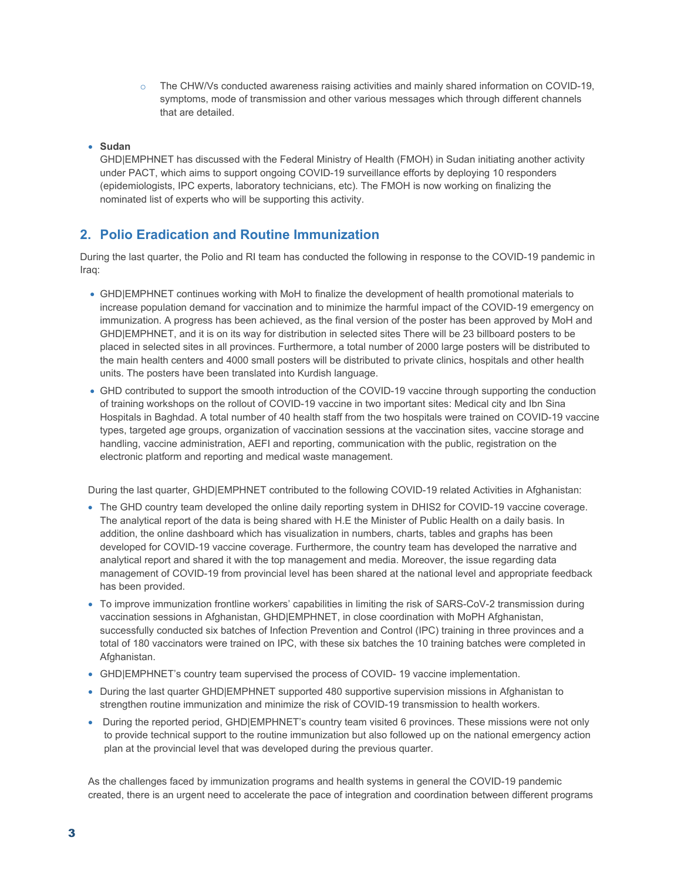$\circ$  The CHW/Vs conducted awareness raising activities and mainly shared information on COVID-19, symptoms, mode of transmission and other various messages which through different channels that are detailed.

#### **Sudan**

GHD|EMPHNET has discussed with the Federal Ministry of Health (FMOH) in Sudan initiating another activity under PACT, which aims to support ongoing COVID-19 surveillance efforts by deploying 10 responders (epidemiologists, IPC experts, laboratory technicians, etc). The FMOH is now working on finalizing the nominated list of experts who will be supporting this activity.

### **2. Polio Eradication and Routine Immunization**

During the last quarter, the Polio and RI team has conducted the following in response to the COVID-19 pandemic in Iraq:

- GHD|EMPHNET continues working with MoH to finalize the development of health promotional materials to increase population demand for vaccination and to minimize the harmful impact of the COVID-19 emergency on immunization. A progress has been achieved, as the final version of the poster has been approved by MoH and GHD|EMPHNET, and it is on its way for distribution in selected sites There will be 23 billboard posters to be placed in selected sites in all provinces. Furthermore, a total number of 2000 large posters will be distributed to the main health centers and 4000 small posters will be distributed to private clinics, hospitals and other health units. The posters have been translated into Kurdish language.
- GHD contributed to support the smooth introduction of the COVID-19 vaccine through supporting the conduction of training workshops on the rollout of COVID-19 vaccine in two important sites: Medical city and Ibn Sina Hospitals in Baghdad. A total number of 40 health staff from the two hospitals were trained on COVID-19 vaccine types, targeted age groups, organization of vaccination sessions at the vaccination sites, vaccine storage and handling, vaccine administration, AEFI and reporting, communication with the public, registration on the electronic platform and reporting and medical waste management.

During the last quarter, GHD|EMPHNET contributed to the following COVID-19 related Activities in Afghanistan:

- The GHD country team developed the online daily reporting system in DHIS2 for COVID-19 vaccine coverage. The analytical report of the data is being shared with H.E the Minister of Public Health on a daily basis. In addition, the online dashboard which has visualization in numbers, charts, tables and graphs has been developed for COVID-19 vaccine coverage. Furthermore, the country team has developed the narrative and analytical report and shared it with the top management and media. Moreover, the issue regarding data management of COVID-19 from provincial level has been shared at the national level and appropriate feedback has been provided.
- To improve immunization frontline workers' capabilities in limiting the risk of SARS-CoV-2 transmission during vaccination sessions in Afghanistan, GHD|EMPHNET, in close coordination with MoPH Afghanistan, successfully conducted six batches of Infection Prevention and Control (IPC) training in three provinces and a total of 180 vaccinators were trained on IPC, with these six batches the 10 training batches were completed in Afghanistan.
- GHD|EMPHNET's country team supervised the process of COVID- 19 vaccine implementation.
- During the last quarter GHD|EMPHNET supported 480 supportive supervision missions in Afghanistan to strengthen routine immunization and minimize the risk of COVID-19 transmission to health workers.
- During the reported period, GHD|EMPHNET's country team visited 6 provinces. These missions were not only to provide technical support to the routine immunization but also followed up on the national emergency action plan at the provincial level that was developed during the previous quarter.

As the challenges faced by immunization programs and health systems in general the COVID-19 pandemic created, there is an urgent need to accelerate the pace of integration and coordination between different programs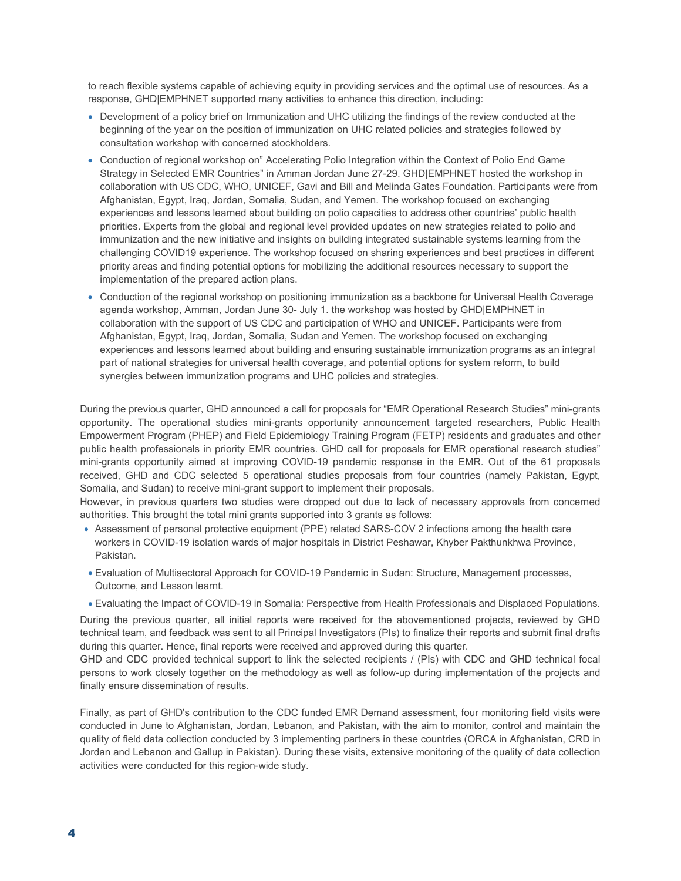to reach flexible systems capable of achieving equity in providing services and the optimal use of resources. As a response, GHD|EMPHNET supported many activities to enhance this direction, including:

- Development of a policy brief on Immunization and UHC utilizing the findings of the review conducted at the beginning of the year on the position of immunization on UHC related policies and strategies followed by consultation workshop with concerned stockholders.
- Conduction of regional workshop on" Accelerating Polio Integration within the Context of Polio End Game Strategy in Selected EMR Countries" in Amman Jordan June 27-29. GHD|EMPHNET hosted the workshop in collaboration with US CDC, WHO, UNICEF, Gavi and Bill and Melinda Gates Foundation. Participants were from Afghanistan, Egypt, Iraq, Jordan, Somalia, Sudan, and Yemen. The workshop focused on exchanging experiences and lessons learned about building on polio capacities to address other countries' public health priorities. Experts from the global and regional level provided updates on new strategies related to polio and immunization and the new initiative and insights on building integrated sustainable systems learning from the challenging COVID19 experience. The workshop focused on sharing experiences and best practices in different priority areas and finding potential options for mobilizing the additional resources necessary to support the implementation of the prepared action plans.
- Conduction of the regional workshop on positioning immunization as a backbone for Universal Health Coverage agenda workshop, Amman, Jordan June 30- July 1. the workshop was hosted by GHD|EMPHNET in collaboration with the support of US CDC and participation of WHO and UNICEF. Participants were from Afghanistan, Egypt, Iraq, Jordan, Somalia, Sudan and Yemen. The workshop focused on exchanging experiences and lessons learned about building and ensuring sustainable immunization programs as an integral part of national strategies for universal health coverage, and potential options for system reform, to build synergies between immunization programs and UHC policies and strategies.

During the previous quarter, GHD announced a call for proposals for "EMR Operational Research Studies" mini-grants opportunity. The operational studies mini-grants opportunity announcement targeted researchers, Public Health Empowerment Program (PHEP) and Field Epidemiology Training Program (FETP) residents and graduates and other public health professionals in priority EMR countries. GHD call for proposals for EMR operational research studies" mini-grants opportunity aimed at improving COVID-19 pandemic response in the EMR. Out of the 61 proposals received, GHD and CDC selected 5 operational studies proposals from four countries (namely Pakistan, Egypt, Somalia, and Sudan) to receive mini-grant support to implement their proposals.

However, in previous quarters two studies were dropped out due to lack of necessary approvals from concerned authorities. This brought the total mini grants supported into 3 grants as follows:

- Assessment of personal protective equipment (PPE) related SARS-COV 2 infections among the health care workers in COVID-19 isolation wards of major hospitals in District Peshawar, Khyber Pakthunkhwa Province, Pakistan.
- Evaluation of Multisectoral Approach for COVID-19 Pandemic in Sudan: Structure, Management processes, Outcome, and Lesson learnt.
- Evaluating the Impact of COVID-19 in Somalia: Perspective from Health Professionals and Displaced Populations.

During the previous quarter, all initial reports were received for the abovementioned projects, reviewed by GHD technical team, and feedback was sent to all Principal Investigators (PIs) to finalize their reports and submit final drafts during this quarter. Hence, final reports were received and approved during this quarter.

GHD and CDC provided technical support to link the selected recipients / (PIs) with CDC and GHD technical focal persons to work closely together on the methodology as well as follow-up during implementation of the projects and finally ensure dissemination of results.

Finally, as part of GHD's contribution to the CDC funded EMR Demand assessment, four monitoring field visits were conducted in June to Afghanistan, Jordan, Lebanon, and Pakistan, with the aim to monitor, control and maintain the quality of field data collection conducted by 3 implementing partners in these countries (ORCA in Afghanistan, CRD in Jordan and Lebanon and Gallup in Pakistan). During these visits, extensive monitoring of the quality of data collection activities were conducted for this region-wide study.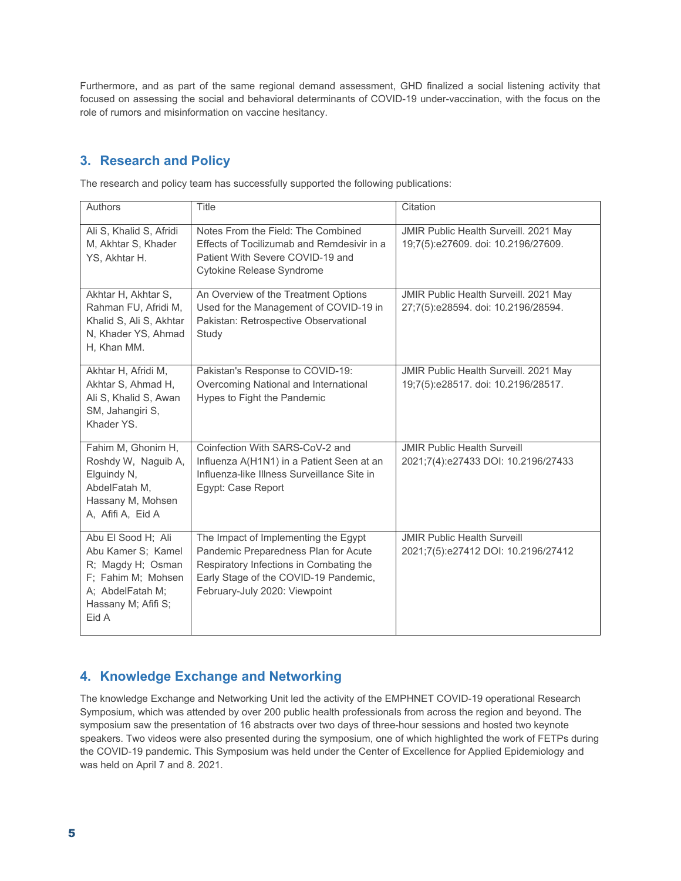Furthermore, and as part of the same regional demand assessment, GHD finalized a social listening activity that focused on assessing the social and behavioral determinants of COVID-19 under-vaccination, with the focus on the role of rumors and misinformation on vaccine hesitancy.

# **3. Research and Policy**

The research and policy team has successfully supported the following publications:

| Authors                                                                                                                                 | Title                                                                                                                                                                                             | Citation                                                                     |
|-----------------------------------------------------------------------------------------------------------------------------------------|---------------------------------------------------------------------------------------------------------------------------------------------------------------------------------------------------|------------------------------------------------------------------------------|
| Ali S, Khalid S, Afridi<br>M, Akhtar S, Khader<br>YS, Akhtar H.                                                                         | Notes From the Field: The Combined<br>Effects of Tocilizumab and Remdesivir in a<br>Patient With Severe COVID-19 and<br>Cytokine Release Syndrome                                                 | JMIR Public Health Surveill. 2021 May<br>19;7(5):e27609. doi: 10.2196/27609. |
| Akhtar H, Akhtar S,<br>Rahman FU, Afridi M,<br>Khalid S, Ali S, Akhtar<br>N, Khader YS, Ahmad<br>H, Khan MM.                            | An Overview of the Treatment Options<br>Used for the Management of COVID-19 in<br>Pakistan: Retrospective Observational<br>Study                                                                  | JMIR Public Health Surveill. 2021 May<br>27;7(5):e28594. doi: 10.2196/28594. |
| Akhtar H, Afridi M,<br>Akhtar S, Ahmad H,<br>Ali S, Khalid S, Awan<br>SM, Jahangiri S,<br>Khader YS.                                    | Pakistan's Response to COVID-19:<br>Overcoming National and International<br>Hypes to Fight the Pandemic                                                                                          | JMIR Public Health Surveill. 2021 May<br>19;7(5):e28517. doi: 10.2196/28517. |
| Fahim M, Ghonim H,<br>Roshdy W, Naguib A,<br>Elguindy N,<br>AbdelFatah M.<br>Hassany M, Mohsen<br>A, Afifi A, Eid A                     | Coinfection With SARS-CoV-2 and<br>Influenza A(H1N1) in a Patient Seen at an<br>Influenza-like Illness Surveillance Site in<br>Egypt: Case Report                                                 | <b>JMIR Public Health Surveill</b><br>2021;7(4):e27433 DOI: 10.2196/27433    |
| Abu El Sood H; Ali<br>Abu Kamer S; Kamel<br>R; Magdy H; Osman<br>F; Fahim M; Mohsen<br>A; AbdelFatah M;<br>Hassany M; Afifi S;<br>Eid A | The Impact of Implementing the Egypt<br>Pandemic Preparedness Plan for Acute<br>Respiratory Infections in Combating the<br>Early Stage of the COVID-19 Pandemic,<br>February-July 2020: Viewpoint | <b>JMIR Public Health Surveill</b><br>2021;7(5):e27412 DOI: 10.2196/27412    |

## **4. Knowledge Exchange and Networking**

The knowledge Exchange and Networking Unit led the activity of the EMPHNET COVID-19 operational Research Symposium, which was attended by over 200 public health professionals from across the region and beyond. The symposium saw the presentation of 16 abstracts over two days of three-hour sessions and hosted two keynote speakers. Two videos were also presented during the symposium, one of which highlighted the work of FETPs during the COVID-19 pandemic. This Symposium was held under the Center of Excellence for Applied Epidemiology and was held on April 7 and 8. 2021.